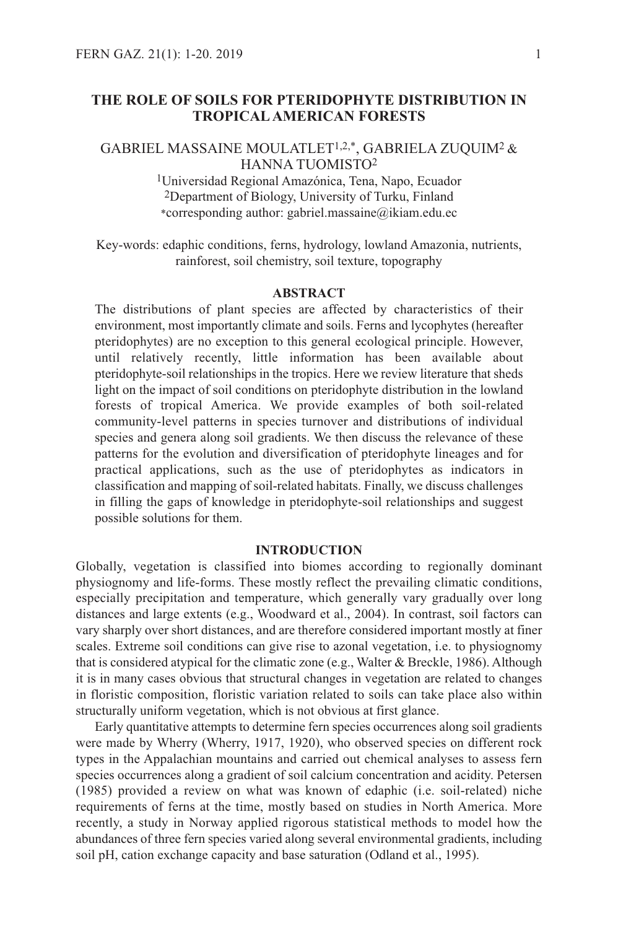# **THE ROLE OF SOILS FOR PTERIDOPHYTE DISTRIBUTION IN TROPICALAMERICAN FORESTS**

GABRIEL MASSAINE MOULATLET1,2,\*, GABRIELA ZUQUIM2 & HANNA TUOMISTO2

> 1Universidad Regional Amazónica, Tena, Napo, Ecuador 2Department of Biology, University of Turku, Finland \*corresponding author: gabriel.massaine@ikiam.edu.ec

Key-words: edaphic conditions, ferns, hydrology, lowland Amazonia, nutrients, rainforest, soil chemistry, soil texture, topography

### **ABSTRACT**

The distributions of plant species are affected by characteristics of their environment, most importantly climate and soils. Ferns and lycophytes (hereafter pteridophytes) are no exception to this general ecological principle. However, until relatively recently, little information has been available about pteridophyte-soil relationships in the tropics. Here we review literature that sheds light on the impact of soil conditions on pteridophyte distribution in the lowland forests of tropical America. We provide examples of both soil-related community-level patterns in species turnover and distributions of individual species and genera along soil gradients. We then discuss the relevance of these patterns for the evolution and diversification of pteridophyte lineages and for practical applications, such as the use of pteridophytes as indicators in classification and mapping of soil-related habitats. Finally, we discuss challenges in filling the gaps of knowledge in pteridophyte-soil relationships and suggest possible solutions for them.

#### **INTRODUCTION**

Globally, vegetation is classified into biomes according to regionally dominant physiognomy and life-forms. These mostly reflect the prevailing climatic conditions, especially precipitation and temperature, which generally vary gradually over long distances and large extents (e.g., Woodward et al., 2004). In contrast, soil factors can vary sharply over short distances, and are therefore considered important mostly at finer scales. Extreme soil conditions can give rise to azonal vegetation, i.e. to physiognomy that is considered atypical for the climatic zone (e.g., Walter & Breckle, 1986). Although it is in many cases obvious that structural changes in vegetation are related to changes in floristic composition, floristic variation related to soils can take place also within structurally uniform vegetation, which is not obvious at first glance.

Early quantitative attempts to determine fern species occurrences along soil gradients were made by Wherry (Wherry, 1917, 1920), who observed species on different rock types in the Appalachian mountains and carried out chemical analyses to assess fern species occurrences along a gradient of soil calcium concentration and acidity. Petersen (1985) provided a review on what was known of edaphic (i.e. soil-related) niche requirements of ferns at the time, mostly based on studies in North America. More recently, a study in Norway applied rigorous statistical methods to model how the abundances of three fern species varied along several environmental gradients, including soil pH, cation exchange capacity and base saturation (Odland et al., 1995).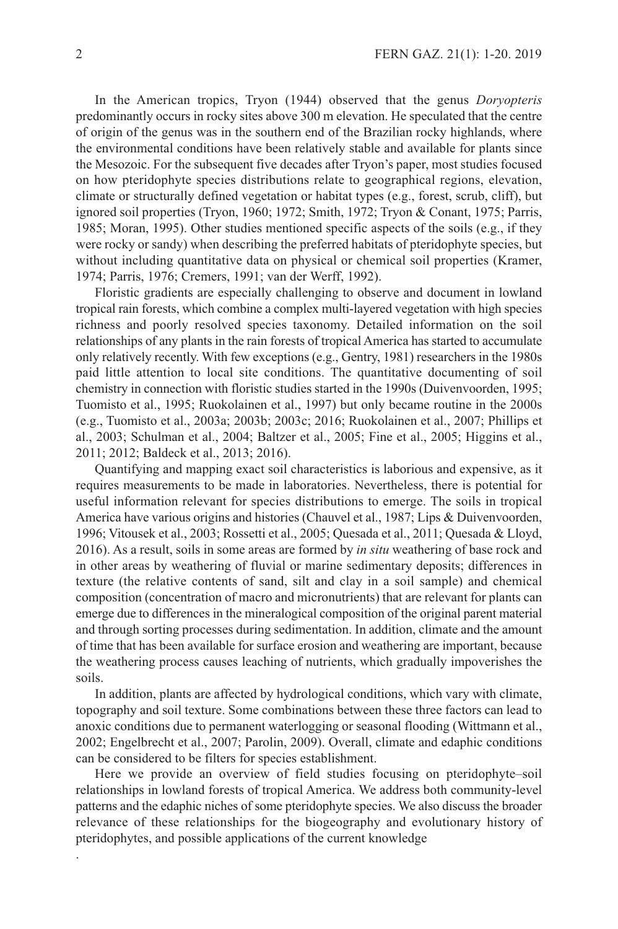In the American tropics, Tryon (1944) observed that the genus *Doryopteris* predominantly occurs in rocky sites above 300 m elevation. He speculated that the centre of origin of the genus was in the southern end of the Brazilian rocky highlands, where the environmental conditions have been relatively stable and available for plants since the Mesozoic. For the subsequent five decades after Tryon's paper, most studies focused on how pteridophyte species distributions relate to geographical regions, elevation, climate or structurally defined vegetation or habitat types (e.g., forest, scrub, cliff), but ignored soil properties (Tryon, 1960; 1972; Smith, 1972; Tryon & Conant, 1975; Parris, 1985; Moran, 1995). Other studies mentioned specific aspects of the soils (e.g., if they were rocky or sandy) when describing the preferred habitats of pteridophyte species, but without including quantitative data on physical or chemical soil properties (Kramer, 1974; Parris, 1976; Cremers, 1991; van der Werff, 1992).

Floristic gradients are especially challenging to observe and document in lowland tropical rain forests, which combine a complex multi-layered vegetation with high species richness and poorly resolved species taxonomy. Detailed information on the soil relationships of any plants in the rain forests of tropical America has started to accumulate only relatively recently. With few exceptions (e.g., Gentry, 1981) researchers in the 1980s paid little attention to local site conditions. The quantitative documenting of soil chemistry in connection with floristic studies started in the 1990s (Duivenvoorden, 1995; Tuomisto et al., 1995; Ruokolainen et al., 1997) but only became routine in the 2000s (e.g., Tuomisto et al., 2003a; 2003b; 2003c; 2016; Ruokolainen et al., 2007; Phillips et al., 2003; Schulman et al., 2004; Baltzer et al., 2005; Fine et al., 2005; Higgins et al., 2011; 2012; Baldeck et al., 2013; 2016).

Quantifying and mapping exact soil characteristics is laborious and expensive, as it requires measurements to be made in laboratories. Nevertheless, there is potential for useful information relevant for species distributions to emerge. The soils in tropical America have various origins and histories (Chauvel et al., 1987; Lips & Duivenvoorden, 1996; Vitousek et al., 2003; Rossetti et al., 2005; Quesada et al., 2011; Quesada & Lloyd, 2016). As a result, soils in some areas are formed by *in situ* weathering of base rock and in other areas by weathering of fluvial or marine sedimentary deposits; differences in texture (the relative contents of sand, silt and clay in a soil sample) and chemical composition (concentration of macro and micronutrients) that are relevant for plants can emerge due to differences in the mineralogical composition of the original parent material and through sorting processes during sedimentation. In addition, climate and the amount of time that has been available for surface erosion and weathering are important, because the weathering process causes leaching of nutrients, which gradually impoverishes the soils.

In addition, plants are affected by hydrological conditions, which vary with climate, topography and soil texture. Some combinations between these three factors can lead to anoxic conditions due to permanent waterlogging or seasonal flooding (Wittmann et al., 2002; Engelbrecht et al., 2007; Parolin, 2009). Overall, climate and edaphic conditions can be considered to be filters for species establishment.

Here we provide an overview of field studies focusing on pteridophyte–soil relationships in lowland forests of tropical America. We address both community-level patterns and the edaphic niches of some pteridophyte species. We also discuss the broader relevance of these relationships for the biogeography and evolutionary history of pteridophytes, and possible applications of the current knowledge

.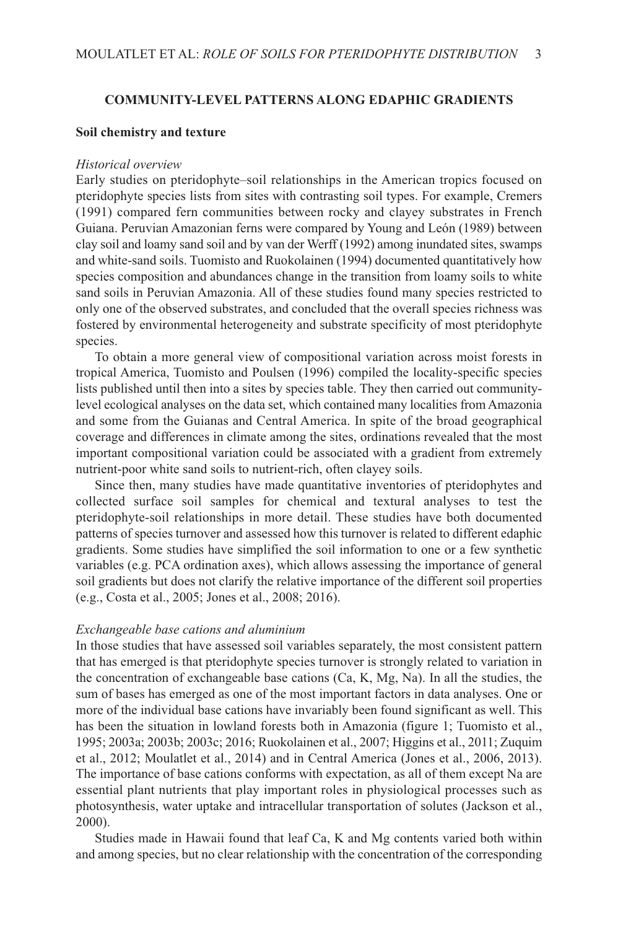# **COMMUNITY-LEVEL PATTERNS ALONG EDAPHIC GRADIENTS**

#### **Soil chemistry and texture**

#### *Historical overview*

Early studies on pteridophyte–soil relationships in the American tropics focused on pteridophyte species lists from sites with contrasting soil types. For example, Cremers (1991) compared fern communities between rocky and clayey substrates in French Guiana. Peruvian Amazonian ferns were compared by Young and León (1989) between clay soil and loamy sand soil and by van der Werff (1992) among inundated sites, swamps and white-sand soils. Tuomisto and Ruokolainen (1994) documented quantitatively how species composition and abundances change in the transition from loamy soils to white sand soils in Peruvian Amazonia. All of these studies found many species restricted to only one of the observed substrates, and concluded that the overall species richness was fostered by environmental heterogeneity and substrate specificity of most pteridophyte species.

To obtain a more general view of compositional variation across moist forests in tropical America, Tuomisto and Poulsen (1996) compiled the locality-specific species lists published until then into a sites by species table. They then carried out communitylevel ecological analyses on the data set, which contained many localities fromAmazonia and some from the Guianas and Central America. In spite of the broad geographical coverage and differences in climate among the sites, ordinations revealed that the most important compositional variation could be associated with a gradient from extremely nutrient-poor white sand soils to nutrient-rich, often clayey soils.

Since then, many studies have made quantitative inventories of pteridophytes and collected surface soil samples for chemical and textural analyses to test the pteridophyte-soil relationships in more detail. These studies have both documented patterns of species turnover and assessed how this turnover is related to different edaphic gradients. Some studies have simplified the soil information to one or a few synthetic variables (e.g. PCA ordination axes), which allows assessing the importance of general soil gradients but does not clarify the relative importance of the different soil properties (e.g., Costa et al., 2005; Jones et al., 2008; 2016).

# *Exchangeable base cations and aluminium*

In those studies that have assessed soil variables separately, the most consistent pattern that has emerged is that pteridophyte species turnover is strongly related to variation in the concentration of exchangeable base cations (Ca, K, Mg, Na). In all the studies, the sum of bases has emerged as one of the most important factors in data analyses. One or more of the individual base cations have invariably been found significant as well. This has been the situation in lowland forests both in Amazonia (figure 1; Tuomisto et al., 1995; 2003a; 2003b; 2003c; 2016; Ruokolainen et al., 2007; Higgins et al., 2011; Zuquim et al., 2012; Moulatlet et al., 2014) and in Central America (Jones et al., 2006, 2013). The importance of base cations conforms with expectation, as all of them except Na are essential plant nutrients that play important roles in physiological processes such as photosynthesis, water uptake and intracellular transportation of solutes (Jackson et al., 2000).

Studies made in Hawaii found that leaf Ca, K and Mg contents varied both within and among species, but no clear relationship with the concentration of the corresponding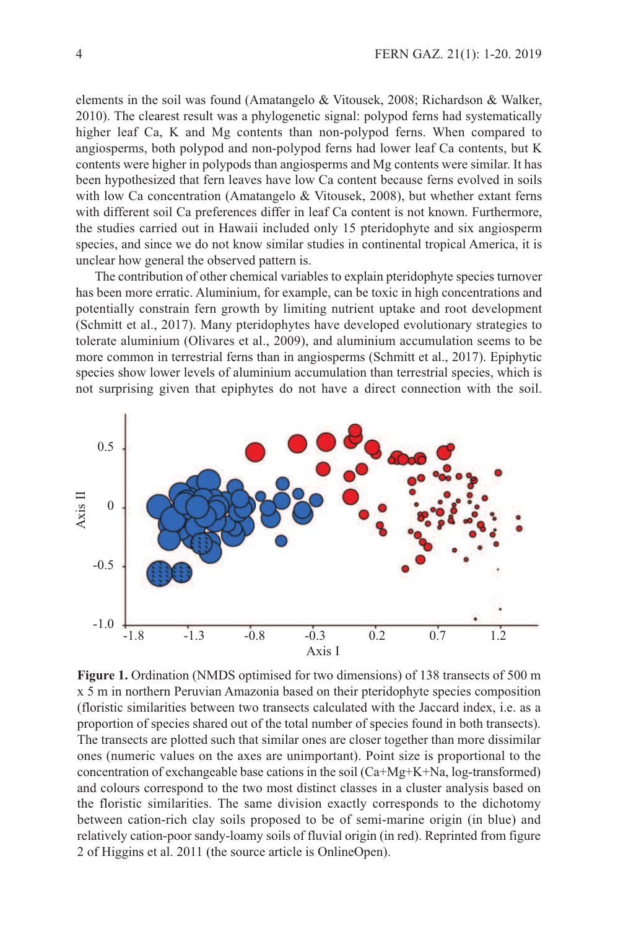elements in the soil was found (Amatangelo & Vitousek, 2008; Richardson & Walker, 2010). The clearest result was a phylogenetic signal: polypod ferns had systematically higher leaf Ca, K and Mg contents than non-polypod ferns. When compared to angiosperms, both polypod and non-polypod ferns had lower leaf Ca contents, but K contents were higher in polypods than angiosperms and Mg contents were similar. It has been hypothesized that fern leaves have low Ca content because ferns evolved in soils with low Ca concentration (Amatangelo  $& Vitousek, 2008$ ), but whether extant ferns with different soil Ca preferences differ in leaf Ca content is not known. Furthermore, the studies carried out in Hawaii included only 15 pteridophyte and six angiosperm species, and since we do not know similar studies in continental tropical America, it is unclear how general the observed pattern is.

The contribution of other chemical variables to explain pteridophyte species turnover has been more erratic. Aluminium, for example, can be toxic in high concentrations and potentially constrain fern growth by limiting nutrient uptake and root development (Schmitt et al., 2017). Many pteridophytes have developed evolutionary strategies to tolerate aluminium (Olivares et al., 2009), and aluminium accumulation seems to be more common in terrestrial ferns than in angiosperms (Schmitt et al., 2017). Epiphytic species show lower levels of aluminium accumulation than terrestrial species, which is not surprising given that epiphytes do not have a direct connection with the soil.



**Figure 1.** Ordination (NMDS optimised for two dimensions) of 138 transects of 500 m x 5 m in northern Peruvian Amazonia based on their pteridophyte species composition (floristic similarities between two transects calculated with the Jaccard index, i.e. as a proportion of species shared out of the total number of species found in both transects). The transects are plotted such that similar ones are closer together than more dissimilar ones (numeric values on the axes are unimportant). Point size is proportional to the concentration of exchangeable base cations in the soil (Ca+Mg+K+Na, log-transformed) and colours correspond to the two most distinct classes in a cluster analysis based on the floristic similarities. The same division exactly corresponds to the dichotomy between cation-rich clay soils proposed to be of semi-marine origin (in blue) and relatively cation-poor sandy-loamy soils of fluvial origin (in red). Reprinted from figure 2 of Higgins et al. 2011 (the source article is OnlineOpen).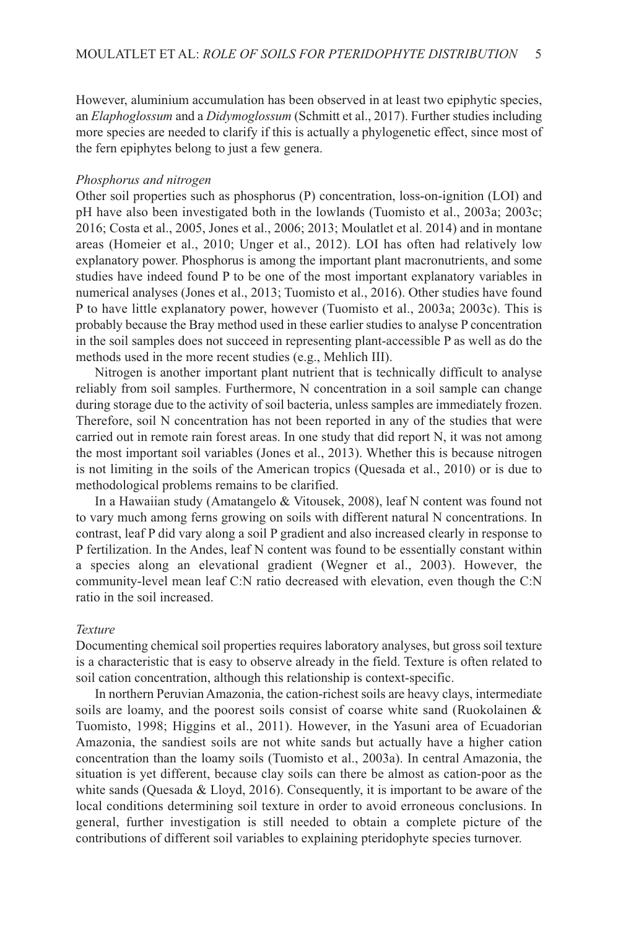However, aluminium accumulation has been observed in at least two epiphytic species, an *Elaphoglossum* and a *Didymoglossum* (Schmitt et al., 2017). Further studies including more species are needed to clarify if this is actually a phylogenetic effect, since most of the fern epiphytes belong to just a few genera.

#### *Phosphorus and nitrogen*

Other soil properties such as phosphorus (P) concentration, loss-on-ignition (LOI) and pH have also been investigated both in the lowlands (Tuomisto et al., 2003a; 2003c; 2016; Costa et al., 2005, Jones et al., 2006; 2013; Moulatlet et al. 2014) and in montane areas (Homeier et al., 2010; Unger et al., 2012). LOI has often had relatively low explanatory power. Phosphorus is among the important plant macronutrients, and some studies have indeed found P to be one of the most important explanatory variables in numerical analyses (Jones et al., 2013; Tuomisto et al., 2016). Other studies have found P to have little explanatory power, however (Tuomisto et al., 2003a; 2003c). This is probably because the Bray method used in these earlier studies to analyse P concentration in the soil samples does not succeed in representing plant-accessible P as well as do the methods used in the more recent studies (e.g., Mehlich III).

Nitrogen is another important plant nutrient that is technically difficult to analyse reliably from soil samples. Furthermore, N concentration in a soil sample can change during storage due to the activity of soil bacteria, unless samples are immediately frozen. Therefore, soil N concentration has not been reported in any of the studies that were carried out in remote rain forest areas. In one study that did report N, it was not among the most important soil variables (Jones et al., 2013). Whether this is because nitrogen is not limiting in the soils of the American tropics (Quesada et al., 2010) or is due to methodological problems remains to be clarified.

In a Hawaiian study (Amatangelo & Vitousek, 2008), leaf N content was found not to vary much among ferns growing on soils with different natural N concentrations. In contrast, leaf P did vary along a soil P gradient and also increased clearly in response to P fertilization. In the Andes, leaf N content was found to be essentially constant within a species along an elevational gradient (Wegner et al., 2003). However, the community-level mean leaf C:N ratio decreased with elevation, even though the C:N ratio in the soil increased.

### *Texture*

Documenting chemical soil properties requires laboratory analyses, but gross soil texture is a characteristic that is easy to observe already in the field. Texture is often related to soil cation concentration, although this relationship is context-specific.

In northern Peruvian Amazonia, the cation-richest soils are heavy clays, intermediate soils are loamy, and the poorest soils consist of coarse white sand (Ruokolainen & Tuomisto, 1998; Higgins et al., 2011). However, in the Yasuni area of Ecuadorian Amazonia, the sandiest soils are not white sands but actually have a higher cation concentration than the loamy soils (Tuomisto et al., 2003a). In central Amazonia, the situation is yet different, because clay soils can there be almost as cation-poor as the white sands (Quesada  $&$  Lloyd, 2016). Consequently, it is important to be aware of the local conditions determining soil texture in order to avoid erroneous conclusions. In general, further investigation is still needed to obtain a complete picture of the contributions of different soil variables to explaining pteridophyte species turnover.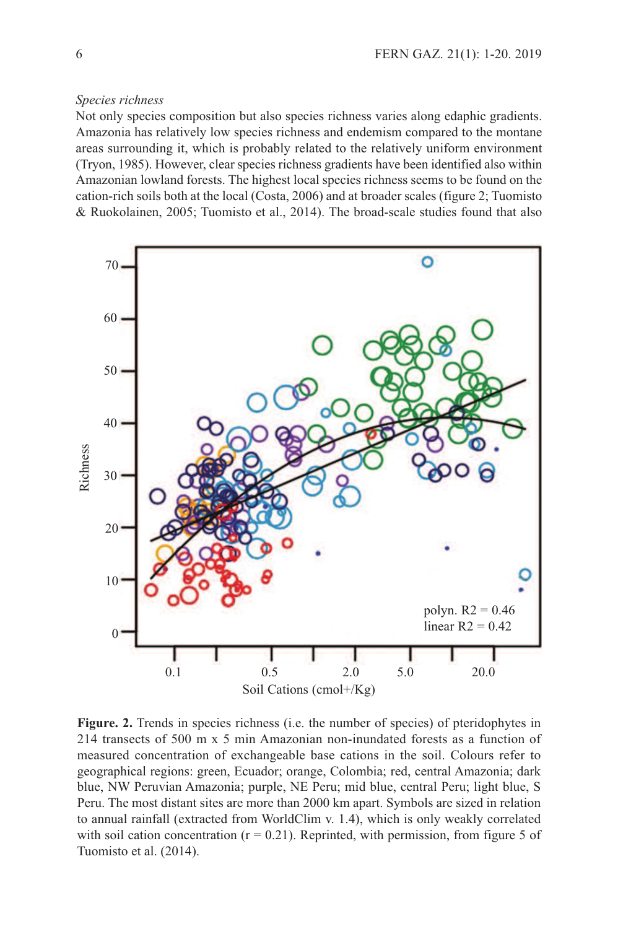# *Species richness*

Not only species composition but also species richness varies along edaphic gradients. Amazonia has relatively low species richness and endemism compared to the montane areas surrounding it, which is probably related to the relatively uniform environment (Tryon, 1985). However, clear species richness gradients have been identified also within Amazonian lowland forests. The highest local species richness seems to be found on the cation-rich soils both at the local (Costa, 2006) and at broader scales (figure 2; Tuomisto & Ruokolainen, 2005; Tuomisto et al., 2014). The broad-scale studies found that also



**Figure. 2.** Trends in species richness (i.e. the number of species) of pteridophytes in 214 transects of 500 m x 5 min Amazonian non-inundated forests as a function of measured concentration of exchangeable base cations in the soil. Colours refer to geographical regions: green, Ecuador; orange, Colombia; red, central Amazonia; dark blue, NW Peruvian Amazonia; purple, NE Peru; mid blue, central Peru; light blue, S Peru. The most distant sites are more than 2000 km apart. Symbols are sized in relation to annual rainfall (extracted from WorldClim v. 1.4), which is only weakly correlated with soil cation concentration  $(r = 0.21)$ . Reprinted, with permission, from figure 5 of Tuomisto et al. (2014).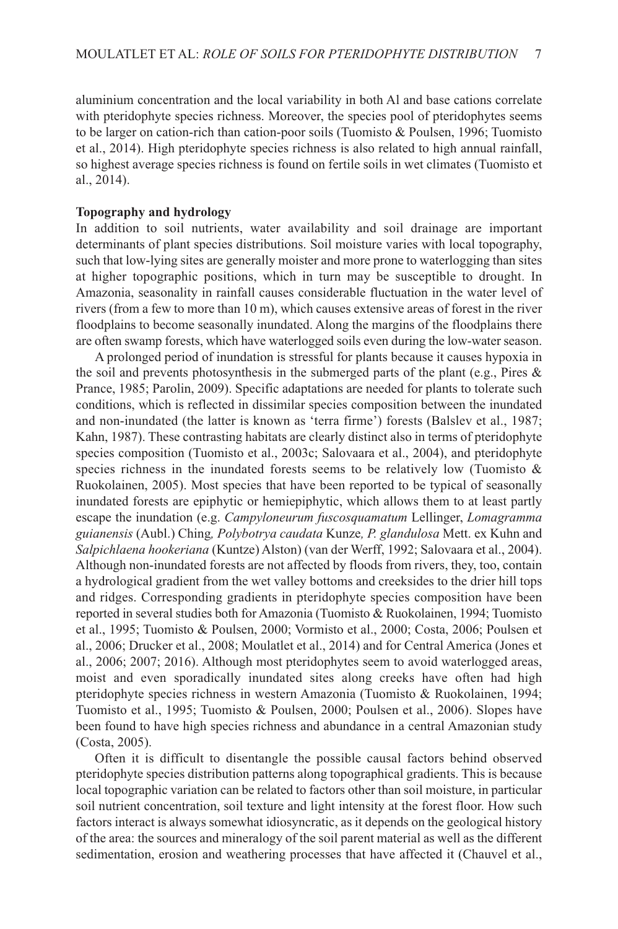aluminium concentration and the local variability in both Al and base cations correlate with pteridophyte species richness. Moreover, the species pool of pteridophytes seems to be larger on cation-rich than cation-poor soils (Tuomisto & Poulsen, 1996; Tuomisto et al., 2014). High pteridophyte species richness is also related to high annual rainfall, so highest average species richness is found on fertile soils in wet climates (Tuomisto et al., 2014).

# **Topography and hydrology**

In addition to soil nutrients, water availability and soil drainage are important determinants of plant species distributions. Soil moisture varies with local topography, such that low-lying sites are generally moister and more prone to waterlogging than sites at higher topographic positions, which in turn may be susceptible to drought. In Amazonia, seasonality in rainfall causes considerable fluctuation in the water level of rivers (from a few to more than 10 m), which causes extensive areas of forest in the river floodplains to become seasonally inundated. Along the margins of the floodplains there are often swamp forests, which have waterlogged soils even during the low-water season.

A prolonged period of inundation is stressful for plants because it causes hypoxia in the soil and prevents photosynthesis in the submerged parts of the plant (e.g., Pires  $\&$ Prance, 1985; Parolin, 2009). Specific adaptations are needed for plants to tolerate such conditions, which is reflected in dissimilar species composition between the inundated and non-inundated (the latter is known as 'terra firme') forests (Balslev et al., 1987; Kahn, 1987). These contrasting habitats are clearly distinct also in terms of pteridophyte species composition (Tuomisto et al., 2003c; Salovaara et al., 2004), and pteridophyte species richness in the inundated forests seems to be relatively low (Tuomisto  $\&$ Ruokolainen, 2005). Most species that have been reported to be typical of seasonally inundated forests are epiphytic or hemiepiphytic, which allows them to at least partly escape the inundation (e.g. *Campyloneurum fuscosquamatum* Lellinger, *Lomagramma guianensis* (Aubl.) Ching*, Polybotrya caudata* Kunze*, P. glandulosa* Mett. ex Kuhn and *Salpichlaena hookeriana* (Kuntze) Alston) (van der Werff, 1992; Salovaara et al., 2004). Although non-inundated forests are not affected by floods from rivers, they, too, contain a hydrological gradient from the wet valley bottoms and creeksides to the drier hill tops and ridges. Corresponding gradients in pteridophyte species composition have been reported in several studies both for Amazonia (Tuomisto & Ruokolainen, 1994; Tuomisto et al., 1995; Tuomisto & Poulsen, 2000; Vormisto et al., 2000; Costa, 2006; Poulsen et al., 2006; Drucker et al., 2008; Moulatlet et al., 2014) and for Central America (Jones et al., 2006; 2007; 2016). Although most pteridophytes seem to avoid waterlogged areas, moist and even sporadically inundated sites along creeks have often had high pteridophyte species richness in western Amazonia (Tuomisto & Ruokolainen, 1994; Tuomisto et al., 1995; Tuomisto & Poulsen, 2000; Poulsen et al., 2006). Slopes have been found to have high species richness and abundance in a central Amazonian study (Costa, 2005).

Often it is difficult to disentangle the possible causal factors behind observed pteridophyte species distribution patterns along topographical gradients. This is because local topographic variation can be related to factors other than soil moisture, in particular soil nutrient concentration, soil texture and light intensity at the forest floor. How such factors interact is always somewhat idiosyncratic, as it depends on the geological history of the area: the sources and mineralogy of the soil parent material as well as the different sedimentation, erosion and weathering processes that have affected it (Chauvel et al.,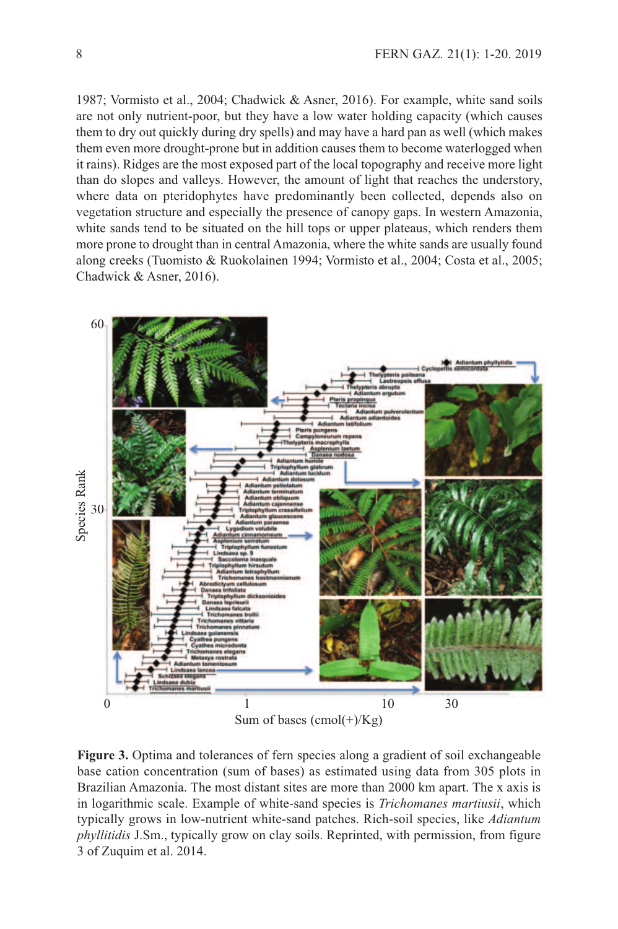1987; Vormisto et al., 2004; Chadwick & Asner, 2016). For example, white sand soils are not only nutrient-poor, but they have a low water holding capacity (which causes them to dry out quickly during dry spells) and may have a hard pan as well (which makes them even more drought-prone but in addition causes them to become waterlogged when it rains). Ridges are the most exposed part of the local topography and receive more light than do slopes and valleys. However, the amount of light that reaches the understory, where data on pteridophytes have predominantly been collected, depends also on vegetation structure and especially the presence of canopy gaps. In western Amazonia, white sands tend to be situated on the hill tops or upper plateaus, which renders them more prone to drought than in central Amazonia, where the white sands are usually found along creeks (Tuomisto & Ruokolainen 1994; Vormisto et al., 2004; Costa et al., 2005; Chadwick & Asner, 2016).



**Figure 3.** Optima and tolerances of fern species along a gradient of soil exchangeable base cation concentration (sum of bases) as estimated using data from 305 plots in Brazilian Amazonia. The most distant sites are more than 2000 km apart. The x axis is in logarithmic scale. Example of white-sand species is *Trichomanes martiusii*, which typically grows in low-nutrient white-sand patches. Rich-soil species, like *Adiantum phyllitidis* J.Sm., typically grow on clay soils. Reprinted, with permission, from figure 3 of Zuquim et al. 2014.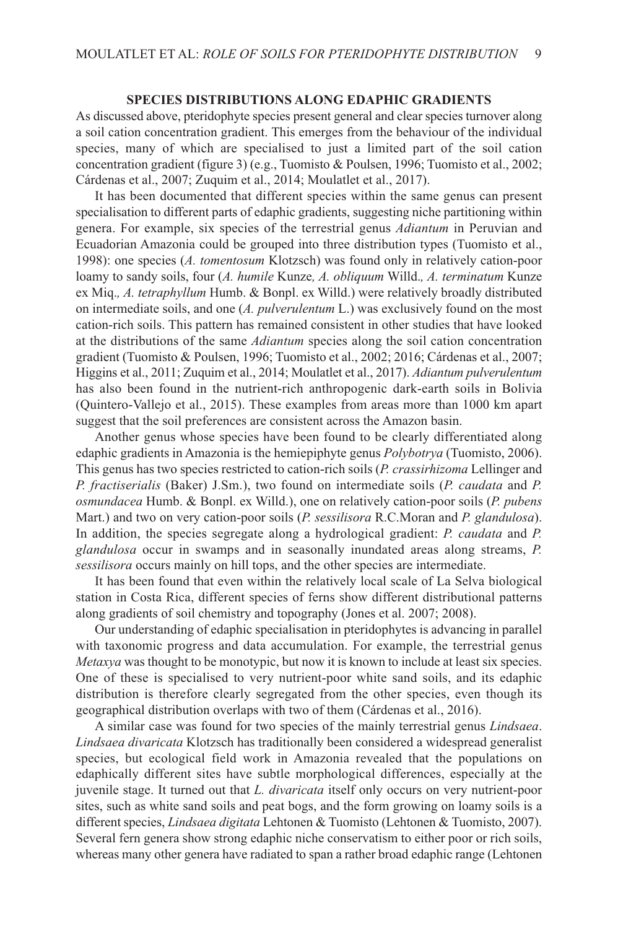### **SPECIES DISTRIBUTIONS ALONG EDAPHIC GRADIENTS**

As discussed above, pteridophyte species present general and clear species turnover along a soil cation concentration gradient. This emerges from the behaviour of the individual species, many of which are specialised to just a limited part of the soil cation concentration gradient (figure 3) (e.g., Tuomisto & Poulsen, 1996; Tuomisto et al., 2002; Cárdenas et al., 2007; Zuquim et al., 2014; Moulatlet et al., 2017).

It has been documented that different species within the same genus can present specialisation to different parts of edaphic gradients, suggesting niche partitioning within genera. For example, six species of the terrestrial genus *Adiantum* in Peruvian and Ecuadorian Amazonia could be grouped into three distribution types (Tuomisto et al., 1998): one species (*A. tomentosum* Klotzsch) was found only in relatively cation-poor loamy to sandy soils, four (*A. humile* Kunze*, A. obliquum* Willd.*, A. terminatum* Kunze ex Miq.*, A. tetraphyllum* Humb. & Bonpl. ex Willd.) were relatively broadly distributed on intermediate soils, and one (*A. pulverulentum* L.) was exclusively found on the most cation-rich soils. This pattern has remained consistent in other studies that have looked at the distributions of the same *Adiantum* species along the soil cation concentration gradient (Tuomisto & Poulsen, 1996; Tuomisto et al., 2002; 2016; Cárdenas et al., 2007; Higgins et al., 2011; Zuquim et al., 2014; Moulatlet et al., 2017). *Adiantum pulverulentum* has also been found in the nutrient-rich anthropogenic dark-earth soils in Bolivia (Quintero-Vallejo et al., 2015). These examples from areas more than 1000 km apart suggest that the soil preferences are consistent across the Amazon basin.

Another genus whose species have been found to be clearly differentiated along edaphic gradients in Amazonia is the hemiepiphyte genus *Polybotrya* (Tuomisto, 2006). This genus has two species restricted to cation-rich soils (*P. crassirhizoma* Lellinger and *P. fractiserialis* (Baker) J.Sm.), two found on intermediate soils (*P. caudata* and *P. osmundacea* Humb. & Bonpl. ex Willd.), one on relatively cation-poor soils (*P. pubens* Mart.) and two on very cation-poor soils (*P. sessilisora* R.C.Moran and *P. glandulosa*). In addition, the species segregate along a hydrological gradient: *P. caudata* and *P. glandulosa* occur in swamps and in seasonally inundated areas along streams, *P. sessilisora* occurs mainly on hill tops, and the other species are intermediate.

It has been found that even within the relatively local scale of La Selva biological station in Costa Rica, different species of ferns show different distributional patterns along gradients of soil chemistry and topography (Jones et al. 2007; 2008).

Our understanding of edaphic specialisation in pteridophytes is advancing in parallel with taxonomic progress and data accumulation. For example, the terrestrial genus *Metaxya* was thought to be monotypic, but now it is known to include at least six species. One of these is specialised to very nutrient-poor white sand soils, and its edaphic distribution is therefore clearly segregated from the other species, even though its geographical distribution overlaps with two of them (Cárdenas et al., 2016).

A similar case was found for two species of the mainly terrestrial genus *Lindsaea*. *Lindsaea divaricata* Klotzsch has traditionally been considered a widespread generalist species, but ecological field work in Amazonia revealed that the populations on edaphically different sites have subtle morphological differences, especially at the juvenile stage. It turned out that *L. divaricata* itself only occurs on very nutrient-poor sites, such as white sand soils and peat bogs, and the form growing on loamy soils is a different species, *Lindsaea digitata* Lehtonen & Tuomisto (Lehtonen & Tuomisto, 2007). Several fern genera show strong edaphic niche conservatism to either poor or rich soils, whereas many other genera have radiated to span a rather broad edaphic range (Lehtonen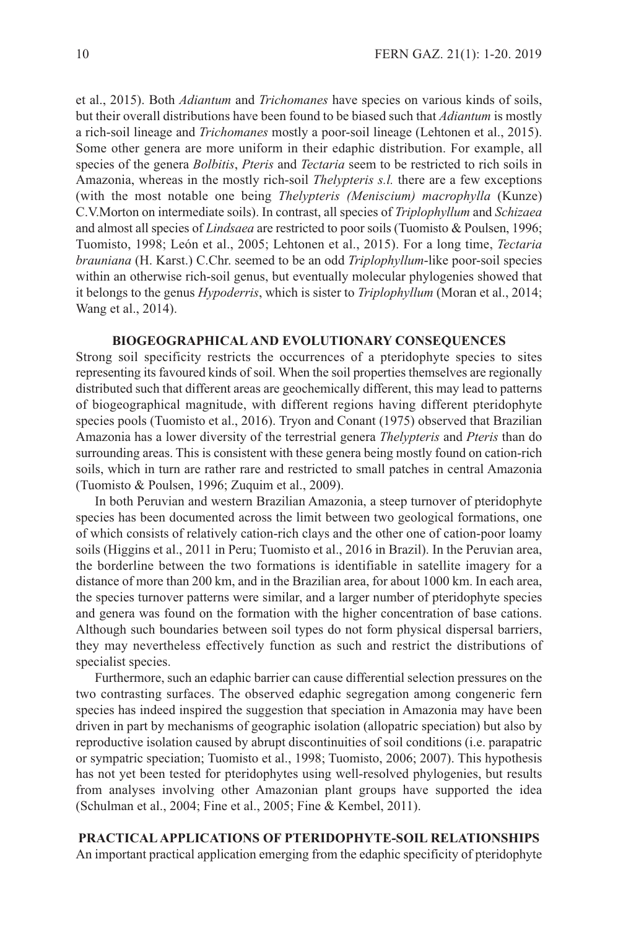et al., 2015). Both *Adiantum* and *Trichomanes* have species on various kinds of soils, but their overall distributions have been found to be biased such that *Adiantum* is mostly a rich-soil lineage and *Trichomanes* mostly a poor-soil lineage (Lehtonen et al., 2015). Some other genera are more uniform in their edaphic distribution. For example, all species of the genera *Bolbitis*, *Pteris* and *Tectaria* seem to be restricted to rich soils in Amazonia, whereas in the mostly rich-soil *Thelypteris s.l.* there are a few exceptions (with the most notable one being *Thelypteris (Meniscium) macrophylla* (Kunze) C.V.Morton on intermediate soils). In contrast, all species of *Triplophyllum* and *Schizaea* and almost all species of *Lindsaea* are restricted to poor soils (Tuomisto & Poulsen, 1996; Tuomisto, 1998; León et al., 2005; Lehtonen et al., 2015). For a long time, *Tectaria brauniana* (H. Karst.) C.Chr. seemed to be an odd *Triplophyllum*-like poor-soil species within an otherwise rich-soil genus, but eventually molecular phylogenies showed that it belongs to the genus *Hypoderris*, which is sister to *Triplophyllum* (Moran et al., 2014; Wang et al., 2014).

### **BIOGEOGRAPHICALAND EVOLUTIONARY CONSEQUENCES**

Strong soil specificity restricts the occurrences of a pteridophyte species to sites representing its favoured kinds of soil. When the soil properties themselves are regionally distributed such that different areas are geochemically different, this may lead to patterns of biogeographical magnitude, with different regions having different pteridophyte species pools (Tuomisto et al., 2016). Tryon and Conant (1975) observed that Brazilian Amazonia has a lower diversity of the terrestrial genera *Thelypteris* and *Pteris* than do surrounding areas. This is consistent with these genera being mostly found on cation-rich soils, which in turn are rather rare and restricted to small patches in central Amazonia (Tuomisto & Poulsen, 1996; Zuquim et al., 2009).

In both Peruvian and western Brazilian Amazonia, a steep turnover of pteridophyte species has been documented across the limit between two geological formations, one of which consists of relatively cation-rich clays and the other one of cation-poor loamy soils (Higgins et al., 2011 in Peru; Tuomisto et al., 2016 in Brazil). In the Peruvian area, the borderline between the two formations is identifiable in satellite imagery for a distance of more than 200 km, and in the Brazilian area, for about 1000 km. In each area, the species turnover patterns were similar, and a larger number of pteridophyte species and genera was found on the formation with the higher concentration of base cations. Although such boundaries between soil types do not form physical dispersal barriers, they may nevertheless effectively function as such and restrict the distributions of specialist species.

Furthermore, such an edaphic barrier can cause differential selection pressures on the two contrasting surfaces. The observed edaphic segregation among congeneric fern species has indeed inspired the suggestion that speciation in Amazonia may have been driven in part by mechanisms of geographic isolation (allopatric speciation) but also by reproductive isolation caused by abrupt discontinuities of soil conditions (i.e. parapatric or sympatric speciation; Tuomisto et al., 1998; Tuomisto, 2006; 2007). This hypothesis has not yet been tested for pteridophytes using well-resolved phylogenies, but results from analyses involving other Amazonian plant groups have supported the idea (Schulman et al., 2004; Fine et al., 2005; Fine & Kembel, 2011).

**PRACTICALAPPLICATIONS OF PTERIDOPHYTE-SOIL RELATIONSHIPS** An important practical application emerging from the edaphic specificity of pteridophyte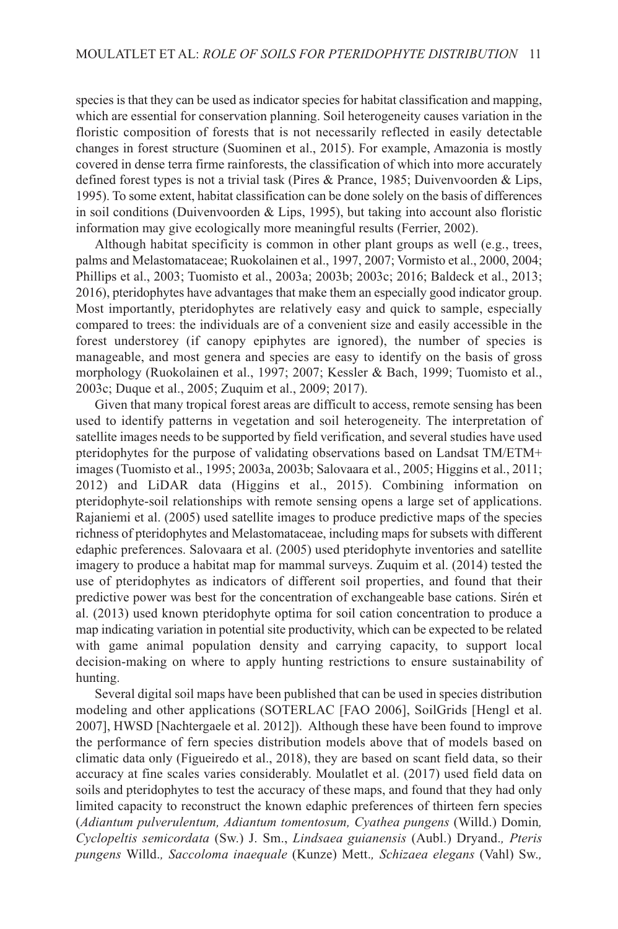species is that they can be used as indicator species for habitat classification and mapping, which are essential for conservation planning. Soil heterogeneity causes variation in the floristic composition of forests that is not necessarily reflected in easily detectable changes in forest structure (Suominen et al., 2015). For example, Amazonia is mostly covered in dense terra firme rainforests, the classification of which into more accurately defined forest types is not a trivial task (Pires & Prance, 1985; Duivenvoorden & Lips, 1995). To some extent, habitat classification can be done solely on the basis of differences in soil conditions (Duivenvoorden  $\&$  Lips, 1995), but taking into account also floristic information may give ecologically more meaningful results (Ferrier, 2002).

Although habitat specificity is common in other plant groups as well (e.g., trees, palms and Melastomataceae; Ruokolainen et al., 1997, 2007; Vormisto et al., 2000, 2004; Phillips et al., 2003; Tuomisto et al., 2003a; 2003b; 2003c; 2016; Baldeck et al., 2013; 2016), pteridophytes have advantages that make them an especially good indicator group. Most importantly, pteridophytes are relatively easy and quick to sample, especially compared to trees: the individuals are of a convenient size and easily accessible in the forest understorey (if canopy epiphytes are ignored), the number of species is manageable, and most genera and species are easy to identify on the basis of gross morphology (Ruokolainen et al., 1997; 2007; Kessler & Bach, 1999; Tuomisto et al., 2003c; Duque et al., 2005; Zuquim et al., 2009; 2017).

Given that many tropical forest areas are difficult to access, remote sensing has been used to identify patterns in vegetation and soil heterogeneity. The interpretation of satellite images needs to be supported by field verification, and several studies have used pteridophytes for the purpose of validating observations based on Landsat TM/ETM+ images (Tuomisto et al., 1995; 2003a, 2003b; Salovaara et al., 2005; Higgins et al., 2011; 2012) and LiDAR data (Higgins et al., 2015). Combining information on pteridophyte-soil relationships with remote sensing opens a large set of applications. Rajaniemi et al. (2005) used satellite images to produce predictive maps of the species richness of pteridophytes and Melastomataceae, including maps for subsets with different edaphic preferences. Salovaara et al. (2005) used pteridophyte inventories and satellite imagery to produce a habitat map for mammal surveys. Zuquim et al. (2014) tested the use of pteridophytes as indicators of different soil properties, and found that their predictive power was best for the concentration of exchangeable base cations. Sirén et al. (2013) used known pteridophyte optima for soil cation concentration to produce a map indicating variation in potential site productivity, which can be expected to be related with game animal population density and carrying capacity, to support local decision-making on where to apply hunting restrictions to ensure sustainability of hunting.

Several digital soil maps have been published that can be used in species distribution modeling and other applications (SOTERLAC [FAO 2006], SoilGrids [Hengl et al. 2007], HWSD [Nachtergaele et al. 2012]). Although these have been found to improve the performance of fern species distribution models above that of models based on climatic data only (Figueiredo et al., 2018), they are based on scant field data, so their accuracy at fine scales varies considerably. Moulatlet et al. (2017) used field data on soils and pteridophytes to test the accuracy of these maps, and found that they had only limited capacity to reconstruct the known edaphic preferences of thirteen fern species (*Adiantum pulverulentum, Adiantum tomentosum, Cyathea pungens* (Willd.) Domin*, Cyclopeltis semicordata* (Sw.) J. Sm., *Lindsaea guianensis* (Aubl.) Dryand.*, Pteris pungens* Willd.*, Saccoloma inaequale* (Kunze) Mett.*, Schizaea elegans* (Vahl) Sw.*,*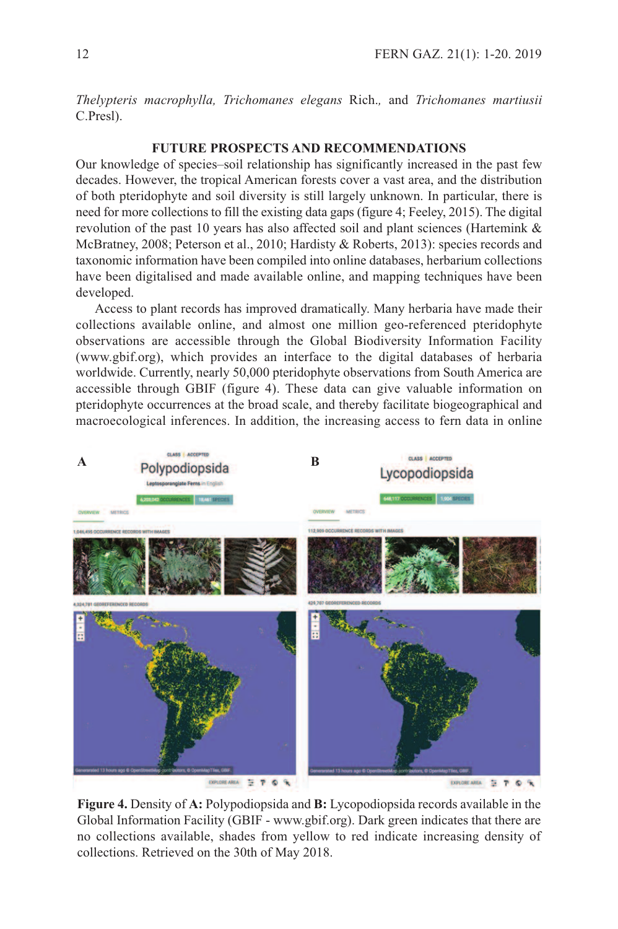*Thelypteris macrophylla, Trichomanes elegans* Rich.*,* and *Trichomanes martiusii* C.Presl).

# **FUTURE PROSPECTS AND RECOMMENDATIONS**

Our knowledge of species–soil relationship has significantly increased in the past few decades. However, the tropical American forests cover a vast area, and the distribution of both pteridophyte and soil diversity is still largely unknown. In particular, there is need for more collections to fill the existing data gaps (figure 4; Feeley, 2015). The digital revolution of the past 10 years has also affected soil and plant sciences (Hartemink & McBratney, 2008; Peterson et al., 2010; Hardisty & Roberts, 2013): species records and taxonomic information have been compiled into online databases, herbarium collections have been digitalised and made available online, and mapping techniques have been developed.

Access to plant records has improved dramatically. Many herbaria have made their collections available online, and almost one million geo-referenced pteridophyte observations are accessible through the Global Biodiversity Information Facility (www.gbif.org), which provides an interface to the digital databases of herbaria worldwide. Currently, nearly 50,000 pteridophyte observations from South America are accessible through GBIF (figure 4). These data can give valuable information on pteridophyte occurrences at the broad scale, and thereby facilitate biogeographical and macroecological inferences. In addition, the increasing access to fern data in online



**Figure 4.** Density of **A:** Polypodiopsida and **B:** Lycopodiopsida records available in the Global Information Facility (GBIF - www.gbif.org). Dark green indicates that there are no collections available, shades from yellow to red indicate increasing density of collections. Retrieved on the 30th of May 2018.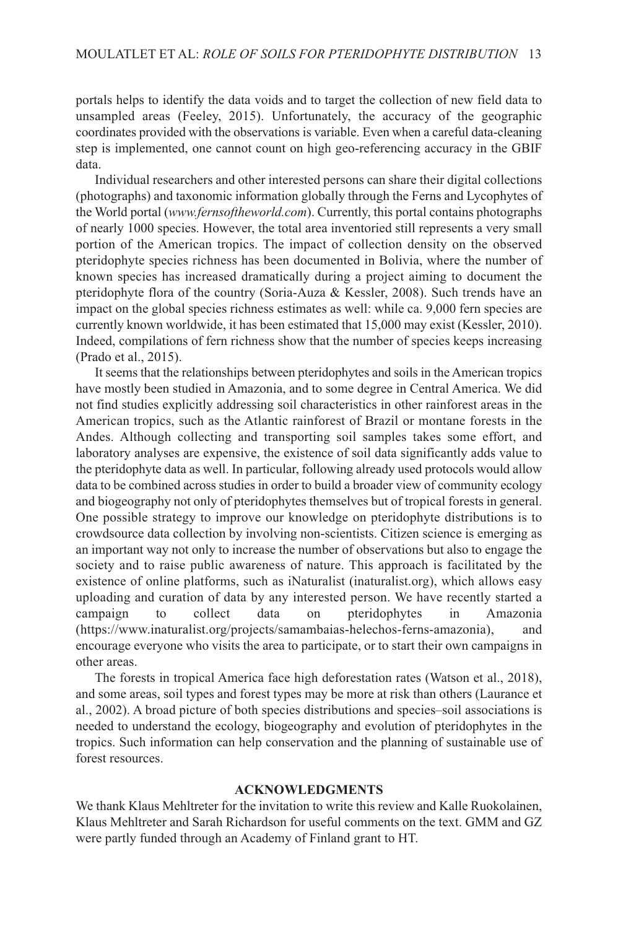portals helps to identify the data voids and to target the collection of new field data to unsampled areas (Feeley, 2015). Unfortunately, the accuracy of the geographic coordinates provided with the observations is variable. Even when a careful data-cleaning step is implemented, one cannot count on high geo-referencing accuracy in the GBIF data.

Individual researchers and other interested persons can share their digital collections (photographs) and taxonomic information globally through the Ferns and Lycophytes of the World portal (*www.fernsoftheworld.com*). Currently, this portal contains photographs of nearly 1000 species. However, the total area inventoried still represents a very small portion of the American tropics. The impact of collection density on the observed pteridophyte species richness has been documented in Bolivia, where the number of known species has increased dramatically during a project aiming to document the pteridophyte flora of the country (Soria-Auza & Kessler, 2008). Such trends have an impact on the global species richness estimates as well: while ca. 9,000 fern species are currently known worldwide, it has been estimated that 15,000 may exist (Kessler, 2010). Indeed, compilations of fern richness show that the number of species keeps increasing (Prado et al., 2015).

It seems that the relationships between pteridophytes and soils in the American tropics have mostly been studied in Amazonia, and to some degree in Central America. We did not find studies explicitly addressing soil characteristics in other rainforest areas in the American tropics, such as the Atlantic rainforest of Brazil or montane forests in the Andes. Although collecting and transporting soil samples takes some effort, and laboratory analyses are expensive, the existence of soil data significantly adds value to the pteridophyte data as well. In particular, following already used protocols would allow data to be combined across studies in order to build a broader view of community ecology and biogeography not only of pteridophytes themselves but of tropical forests in general. One possible strategy to improve our knowledge on pteridophyte distributions is to crowdsource data collection by involving non-scientists. Citizen science is emerging as an important way not only to increase the number of observations but also to engage the society and to raise public awareness of nature. This approach is facilitated by the existence of online platforms, such as iNaturalist (inaturalist.org), which allows easy uploading and curation of data by any interested person. We have recently started a campaign to collect data on pteridophytes in Amazonia (https://www.inaturalist.org/projects/samambaias-helechos-ferns-amazonia), and encourage everyone who visits the area to participate, or to start their own campaigns in other areas.

The forests in tropical America face high deforestation rates (Watson et al., 2018), and some areas, soil types and forest types may be more at risk than others (Laurance et al., 2002). A broad picture of both species distributions and species–soil associations is needed to understand the ecology, biogeography and evolution of pteridophytes in the tropics. Such information can help conservation and the planning of sustainable use of forest resources.

### **ACKNOWLEDGMENTS**

We thank Klaus Mehltreter for the invitation to write this review and Kalle Ruokolainen, Klaus Mehltreter and Sarah Richardson for useful comments on the text. GMM and GZ were partly funded through an Academy of Finland grant to HT.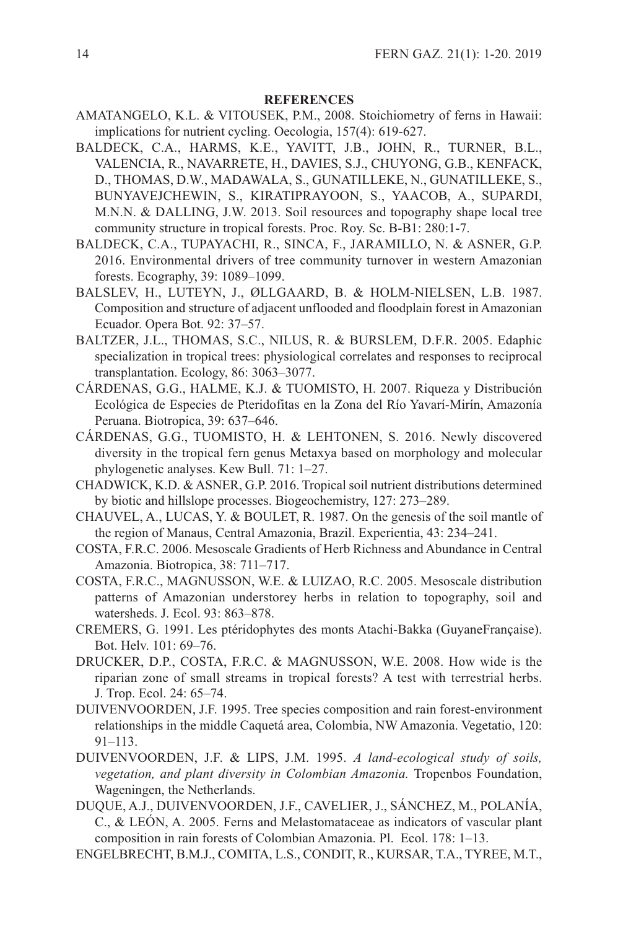# **REFERENCES**

- AMATANGELO, K.L. & VITOUSEK, P.M., 2008. Stoichiometry of ferns in Hawaii: implications for nutrient cycling. Oecologia, 157(4): 619-627.
- BALDECK, C.A., HARMS, K.E., YAVITT, J.B., JOHN, R., TURNER, B.L., VALENCIA, R., NAVARRETE, H., DAVIES, S.J., CHUYONG, G.B., KENFACK, D., THOMAS, D.W., MADAWALA, S., GUNATILLEKE, N., GUNATILLEKE, S., BUNYAVEJCHEWIN, S., KIRATIPRAYOON, S., YAACOB, A., SUPARDI, M.N.N. & DALLING, J.W. 2013. Soil resources and topography shape local tree community structure in tropical forests. Proc. Roy. Sc. B-B1: 280:1-7.
- BALDECK, C.A., TUPAYACHI, R., SINCA, F., JARAMILLO, N. & ASNER, G.P. 2016. Environmental drivers of tree community turnover in western Amazonian forests. Ecography, 39: 1089–1099.
- BALSLEV, H., LUTEYN, J., ØLLGAARD, B. & HOLM-NIELSEN, L.B. 1987. Composition and structure of adjacent unflooded and floodplain forest in Amazonian Ecuador. Opera Bot. 92: 37–57.
- BALTZER, J.L., THOMAS, S.C., NILUS, R. & BURSLEM, D.F.R. 2005. Edaphic specialization in tropical trees: physiological correlates and responses to reciprocal transplantation. Ecology, 86: 3063–3077.
- CÁRDENAS, G.G., HALME, K.J. & TUOMISTO, H. 2007. Riqueza y Distribución Ecológica de Especies de Pteridofitas en la Zona del Río Yavarí-Mirín, Amazonía Peruana. Biotropica, 39: 637–646.
- CÁRDENAS, G.G., TUOMISTO, H. & LEHTONEN, S. 2016. Newly discovered diversity in the tropical fern genus Metaxya based on morphology and molecular phylogenetic analyses. Kew Bull. 71: 1–27.
- CHADWICK, K.D. & ASNER, G.P. 2016. Tropical soil nutrient distributions determined by biotic and hillslope processes. Biogeochemistry, 127: 273–289.
- CHAUVEL, A., LUCAS, Y. & BOULET, R. 1987. On the genesis of the soil mantle of the region of Manaus, Central Amazonia, Brazil. Experientia, 43: 234–241.
- COSTA, F.R.C. 2006. Mesoscale Gradients of Herb Richness and Abundance in Central Amazonia. Biotropica, 38: 711–717.
- COSTA, F.R.C., MAGNUSSON, W.E. & LUIZAO, R.C. 2005. Mesoscale distribution patterns of Amazonian understorey herbs in relation to topography, soil and watersheds. J. Ecol. 93: 863–878.
- CREMERS, G. 1991. Les ptéridophytes des monts Atachi-Bakka (GuyaneFrançaise). Bot. Helv. 101: 69–76.
- DRUCKER, D.P., COSTA, F.R.C. & MAGNUSSON, W.E. 2008. How wide is the riparian zone of small streams in tropical forests? A test with terrestrial herbs. J. Trop. Ecol. 24: 65–74.
- DUIVENVOORDEN, J.F. 1995. Tree species composition and rain forest-environment relationships in the middle Caquetá area, Colombia, NW Amazonia. Vegetatio, 120: 91–113.
- DUIVENVOORDEN, J.F. & LIPS, J.M. 1995. *A land-ecological study of soils, vegetation, and plant diversity in Colombian Amazonia.* Tropenbos Foundation, Wageningen, the Netherlands.
- DUQUE, A.J., DUIVENVOORDEN, J.F., CAVELIER, J., SÁNCHEZ, M., POLANÍA, C., & LEÓN, A. 2005. Ferns and Melastomataceae as indicators of vascular plant composition in rain forests of Colombian Amazonia. Pl. Ecol. 178: 1–13.
- ENGELBRECHT, B.M.J., COMITA, L.S., CONDIT, R., KURSAR, T.A., TYREE, M.T.,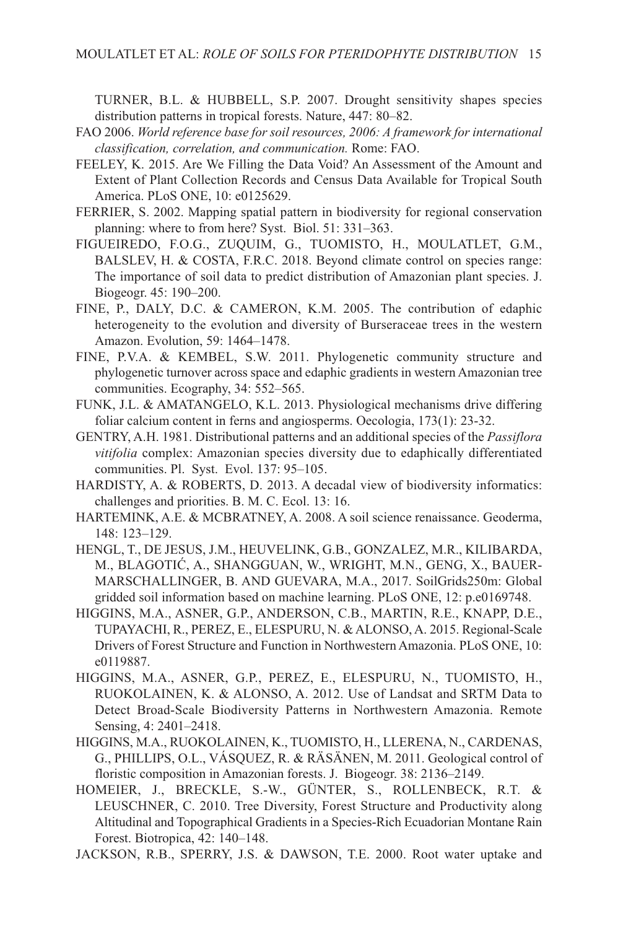TURNER, B.L. & HUBBELL, S.P. 2007. Drought sensitivity shapes species distribution patterns in tropical forests. Nature, 447: 80–82.

- FAO 2006. *World reference base for soil resources, 2006: A framework for international classification, correlation, and communication.* Rome: FAO.
- FEELEY, K. 2015. Are We Filling the Data Void? An Assessment of the Amount and Extent of Plant Collection Records and Census Data Available for Tropical South America. PLoS ONE, 10: e0125629.
- FERRIER, S. 2002. Mapping spatial pattern in biodiversity for regional conservation planning: where to from here? Syst. Biol. 51: 331–363.
- FIGUEIREDO, F.O.G., ZUQUIM, G., TUOMISTO, H., MOULATLET, G.M., BALSLEV, H. & COSTA, F.R.C. 2018. Beyond climate control on species range: The importance of soil data to predict distribution of Amazonian plant species. J. Biogeogr. 45: 190–200.
- FINE, P., DALY, D.C. & CAMERON, K.M. 2005. The contribution of edaphic heterogeneity to the evolution and diversity of Burseraceae trees in the western Amazon. Evolution, 59: 1464–1478.
- FINE, P.V.A. & KEMBEL, S.W. 2011. Phylogenetic community structure and phylogenetic turnover across space and edaphic gradients in western Amazonian tree communities. Ecography, 34: 552–565.
- FUNK, J.L. & AMATANGELO, K.L. 2013. Physiological mechanisms drive differing foliar calcium content in ferns and angiosperms. Oecologia, 173(1): 23-32.
- GENTRY, A.H. 1981. Distributional patterns and an additional species of the *Passiflora vitifolia* complex: Amazonian species diversity due to edaphically differentiated communities. Pl. Syst. Evol. 137: 95–105.
- HARDISTY, A. & ROBERTS, D. 2013. A decadal view of biodiversity informatics: challenges and priorities. B. M. C. Ecol. 13: 16.
- HARTEMINK, A.E. & MCBRATNEY, A. 2008. A soil science renaissance. Geoderma, 148: 123–129.
- HENGL, T., DE JESUS, J.M., HEUVELINK, G.B., GONZALEZ, M.R., KILIBARDA, M., BLAGOTIĆ, A., SHANGGUAN, W., WRIGHT, M.N., GENG, X., BAUER-MARSCHALLINGER, B. AND GUEVARA, M.A., 2017. SoilGrids250m: Global gridded soil information based on machine learning. PLoS ONE, 12: p.e0169748.
- HIGGINS, M.A., ASNER, G.P., ANDERSON, C.B., MARTIN, R.E., KNAPP, D.E., TUPAYACHI, R., PEREZ, E., ELESPURU, N. & ALONSO, A. 2015. Regional-Scale Drivers of Forest Structure and Function in Northwestern Amazonia. PLoS ONE, 10: e0119887.
- HIGGINS, M.A., ASNER, G.P., PEREZ, E., ELESPURU, N., TUOMISTO, H., RUOKOLAINEN, K. & ALONSO, A. 2012. Use of Landsat and SRTM Data to Detect Broad-Scale Biodiversity Patterns in Northwestern Amazonia. Remote Sensing, 4: 2401–2418.
- HIGGINS, M.A., RUOKOLAINEN, K., TUOMISTO, H., LLERENA, N., CARDENAS, G., PHILLIPS, O.L., VÁSQUEZ, R. & RÄSÄNEN, M. 2011. Geological control of floristic composition in Amazonian forests. J. Biogeogr. 38: 2136–2149.
- HOMEIER, J., BRECKLE, S.-W., GÜNTER, S., ROLLENBECK, R.T. & LEUSCHNER, C. 2010. Tree Diversity, Forest Structure and Productivity along Altitudinal and Topographical Gradients in a Species-Rich Ecuadorian Montane Rain Forest. Biotropica, 42: 140–148.
- JACKSON, R.B., SPERRY, J.S. & DAWSON, T.E. 2000. Root water uptake and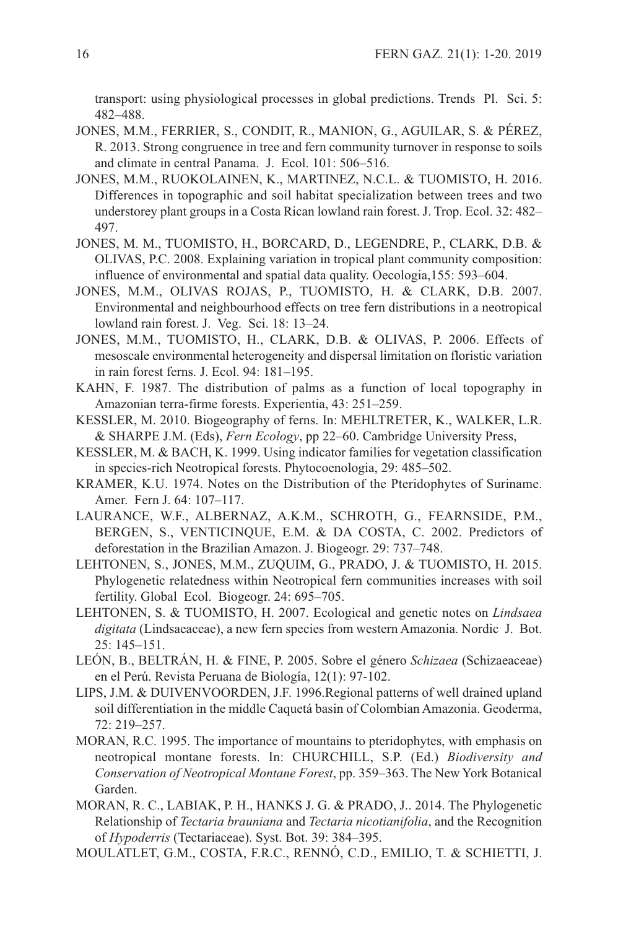transport: using physiological processes in global predictions. Trends Pl. Sci. 5: 482–488.

- JONES, M.M., FERRIER, S., CONDIT, R., MANION, G., AGUILAR, S. & PÉREZ, R. 2013. Strong congruence in tree and fern community turnover in response to soils and climate in central Panama. J. Ecol. 101: 506–516.
- JONES, M.M., RUOKOLAINEN, K., MARTINEZ, N.C.L. & TUOMISTO, H. 2016. Differences in topographic and soil habitat specialization between trees and two understorey plant groups in a Costa Rican lowland rain forest. J. Trop. Ecol. 32: 482– 497.
- JONES, M. M., TUOMISTO, H., BORCARD, D., LEGENDRE, P., CLARK, D.B. & OLIVAS, P.C. 2008. Explaining variation in tropical plant community composition: influence of environmental and spatial data quality. Oecologia,155: 593–604.
- JONES, M.M., OLIVAS ROJAS, P., TUOMISTO, H. & CLARK, D.B. 2007. Environmental and neighbourhood effects on tree fern distributions in a neotropical lowland rain forest. J. Veg. Sci. 18: 13–24.
- JONES, M.M., TUOMISTO, H., CLARK, D.B. & OLIVAS, P. 2006. Effects of mesoscale environmental heterogeneity and dispersal limitation on floristic variation in rain forest ferns. J. Ecol. 94: 181–195.
- KAHN, F. 1987. The distribution of palms as a function of local topography in Amazonian terra-firme forests. Experientia, 43: 251–259.
- KESSLER, M. 2010. Biogeography of ferns. In: MEHLTRETER, K., WALKER, L.R. & SHARPE J.M. (Eds), *Fern Ecology*, pp 22–60. Cambridge University Press,
- KESSLER, M. & BACH, K. 1999. Using indicator families for vegetation classification in species-rich Neotropical forests. Phytocoenologia, 29: 485–502.
- KRAMER, K.U. 1974. Notes on the Distribution of the Pteridophytes of Suriname. Amer. Fern J. 64: 107–117.
- LAURANCE, W.F., ALBERNAZ, A.K.M., SCHROTH, G., FEARNSIDE, P.M., BERGEN, S., VENTICINQUE, E.M. & DA COSTA, C. 2002. Predictors of deforestation in the Brazilian Amazon. J. Biogeogr. 29: 737–748.
- LEHTONEN, S., JONES, M.M., ZUQUIM, G., PRADO, J. & TUOMISTO, H. 2015. Phylogenetic relatedness within Neotropical fern communities increases with soil fertility. Global Ecol. Biogeogr. 24: 695–705.
- LEHTONEN, S. & TUOMISTO, H. 2007. Ecological and genetic notes on *Lindsaea digitata* (Lindsaeaceae), a new fern species from western Amazonia. Nordic J. Bot. 25: 145–151.
- LEÓN, B., BELTRÁN, H. & FINE, P. 2005. Sobre el género *Schizaea* (Schizaeaceae) en el Perú. Revista Peruana de Biología, 12(1): 97-102.
- LIPS, J.M. & DUIVENVOORDEN, J.F. 1996.Regional patterns of well drained upland soil differentiation in the middle Caquetá basin of Colombian Amazonia. Geoderma, 72: 219–257.
- MORAN, R.C. 1995. The importance of mountains to pteridophytes, with emphasis on neotropical montane forests. In: CHURCHILL, S.P. (Ed.) *Biodiversity and Conservation of Neotropical Montane Forest*, pp. 359–363. The New York Botanical Garden.
- MORAN, R. C., LABIAK, P. H., HANKS J. G. & PRADO, J.. 2014. The Phylogenetic Relationship of *Tectaria brauniana* and *Tectaria nicotianifolia*, and the Recognition of *Hypoderris* (Tectariaceae). Syst. Bot. 39: 384–395.
- MOULATLET, G.M., COSTA, F.R.C., RENNÓ, C.D., EMILIO, T. & SCHIETTI, J.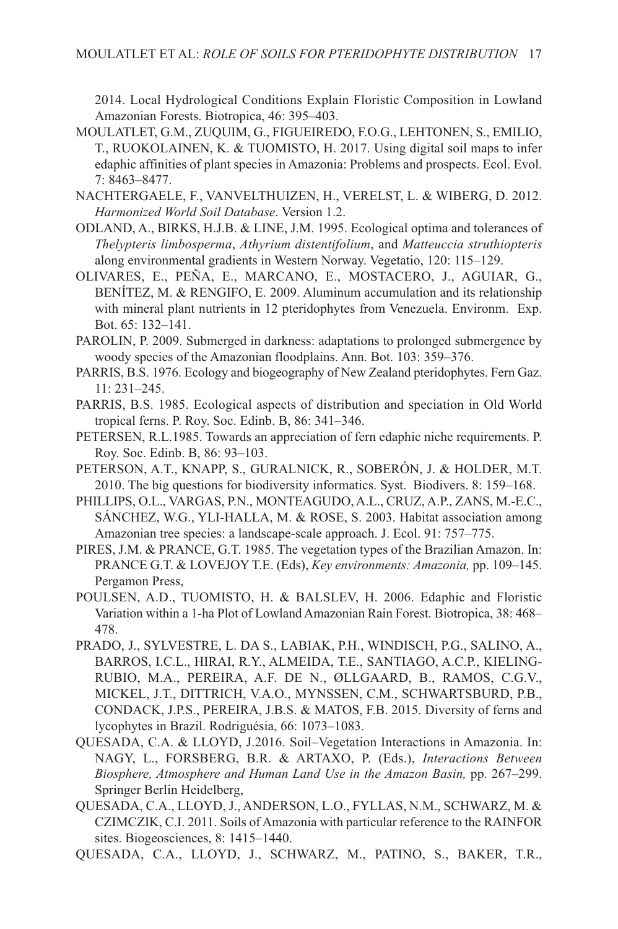2014. Local Hydrological Conditions Explain Floristic Composition in Lowland Amazonian Forests. Biotropica, 46: 395–403.

- MOULATLET, G.M., ZUQUIM, G., FIGUEIREDO, F.O.G., LEHTONEN, S., EMILIO, T., RUOKOLAINEN, K. & TUOMISTO, H. 2017. Using digital soil maps to infer edaphic affinities of plant species in Amazonia: Problems and prospects. Ecol. Evol. 7: 8463–8477.
- NACHTERGAELE, F., VANVELTHUIZEN, H., VERELST, L. & WIBERG, D. 2012. *Harmonized World Soil Database*. Version 1.2.
- ODLAND, A., BIRKS, H.J.B. & LINE, J.M. 1995. Ecological optima and tolerances of *Thelypteris limbosperma*, *Athyrium distentifolium*, and *Matteuccia struthiopteris* along environmental gradients in Western Norway. Vegetatio, 120: 115–129.
- OLIVARES, E., PEÑA, E., MARCANO, E., MOSTACERO, J., AGUIAR, G., BENÍTEZ, M. & RENGIFO, E. 2009. Aluminum accumulation and its relationship with mineral plant nutrients in 12 pteridophytes from Venezuela. Environm. Exp. Bot. 65: 132–141.
- PAROLIN, P. 2009. Submerged in darkness: adaptations to prolonged submergence by woody species of the Amazonian floodplains. Ann. Bot. 103: 359–376.
- PARRIS, B.S. 1976. Ecology and biogeography of New Zealand pteridophytes. Fern Gaz. 11: 231–245.
- PARRIS, B.S. 1985. Ecological aspects of distribution and speciation in Old World tropical ferns. P. Roy. Soc. Edinb. B, 86: 341–346.
- PETERSEN, R.L.1985. Towards an appreciation of fern edaphic niche requirements. P. Roy. Soc. Edinb. B, 86: 93–103.
- PETERSON, A.T., KNAPP, S., GURALNICK, R., SOBERÓN, J. & HOLDER, M.T. 2010. The big questions for biodiversity informatics. Syst. Biodivers. 8: 159–168.
- PHILLIPS, O.L., VARGAS, P.N., MONTEAGUDO, A.L., CRUZ, A.P., ZANS, M.-E.C., SÁNCHEZ, W.G., YLI-HALLA, M. & ROSE, S. 2003. Habitat association among Amazonian tree species: a landscape-scale approach. J. Ecol. 91: 757–775.
- PIRES, J.M. & PRANCE, G.T. 1985. The vegetation types of the Brazilian Amazon. In: PRANCE G.T. & LOVEJOY T.E. (Eds), *Key environments: Amazonia,* pp. 109–145. Pergamon Press,
- POULSEN, A.D., TUOMISTO, H. & BALSLEV, H. 2006. Edaphic and Floristic Variation within a 1-ha Plot of Lowland Amazonian Rain Forest. Biotropica, 38: 468– 478.
- PRADO, J., SYLVESTRE, L. DA S., LABIAK, P.H., WINDISCH, P.G., SALINO, A., BARROS, I.C.L., HIRAI, R.Y., ALMEIDA, T.E., SANTIAGO, A.C.P., KIELING-RUBIO, M.A., PEREIRA, A.F. DE N., ØLLGAARD, B., RAMOS, C.G.V., MICKEL, J.T., DITTRICH, V.A.O., MYNSSEN, C.M., SCHWARTSBURD, P.B., CONDACK, J.P.S., PEREIRA, J.B.S. & MATOS, F.B. 2015. Diversity of ferns and lycophytes in Brazil. Rodriguésia, 66: 1073–1083.
- QUESADA, C.A. & LLOYD, J.2016. Soil–Vegetation Interactions in Amazonia. In: NAGY, L., FORSBERG, B.R. & ARTAXO, P. (Eds.), *Interactions Between Biosphere, Atmosphere and Human Land Use in the Amazon Basin,* pp. 267–299. Springer Berlin Heidelberg,
- QUESADA, C.A., LLOYD, J., ANDERSON, L.O., FYLLAS, N.M., SCHWARZ, M. & CZIMCZIK, C.I. 2011. Soils of Amazonia with particular reference to the RAINFOR sites. Biogeosciences, 8: 1415–1440.
- QUESADA, C.A., LLOYD, J., SCHWARZ, M., PATINO, S., BAKER, T.R.,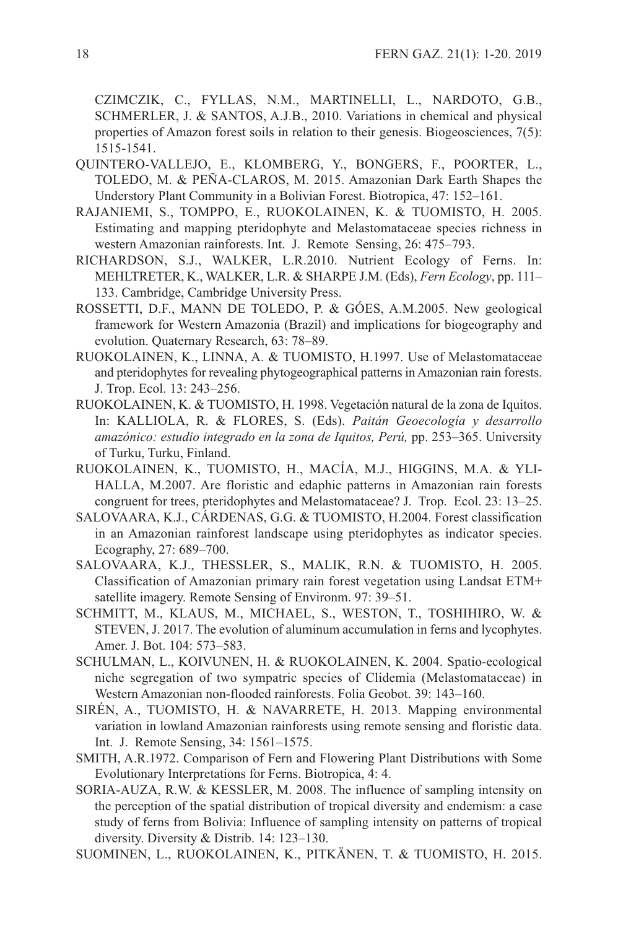CZIMCZIK, C., FYLLAS, N.M., MARTINELLI, L., NARDOTO, G.B., SCHMERLER, J. & SANTOS, A.J.B., 2010. Variations in chemical and physical properties of Amazon forest soils in relation to their genesis. Biogeosciences, 7(5): 1515-1541.

- QUINTERO-VALLEJO, E., KLOMBERG, Y., BONGERS, F., POORTER, L., TOLEDO, M. & PEÑA-CLAROS, M. 2015. Amazonian Dark Earth Shapes the Understory Plant Community in a Bolivian Forest. Biotropica, 47: 152–161.
- RAJANIEMI, S., TOMPPO, E., RUOKOLAINEN, K. & TUOMISTO, H. 2005. Estimating and mapping pteridophyte and Melastomataceae species richness in western Amazonian rainforests. Int. J. Remote Sensing, 26: 475–793.
- RICHARDSON, S.J., WALKER, L.R.2010. Nutrient Ecology of Ferns. In: MEHLTRETER, K., WALKER, L.R. & SHARPE J.M. (Eds), *Fern Ecology*, pp. 111– 133. Cambridge, Cambridge University Press.
- ROSSETTI, D.F., MANN DE TOLEDO, P. & GÓES, A.M.2005. New geological framework for Western Amazonia (Brazil) and implications for biogeography and evolution. Quaternary Research, 63: 78–89.
- RUOKOLAINEN, K., LINNA, A. & TUOMISTO, H.1997. Use of Melastomataceae and pteridophytes for revealing phytogeographical patterns in Amazonian rain forests. J. Trop. Ecol. 13: 243–256.
- RUOKOLAINEN, K. & TUOMISTO, H. 1998. Vegetación natural de la zona de Iquitos. In: KALLIOLA, R. & FLORES, S. (Eds). *Paitán Geoecología y desarrollo amazónico: estudio integrado en la zona de Iquitos, Perú,* pp. 253–365. University of Turku, Turku, Finland.
- RUOKOLAINEN, K., TUOMISTO, H., MACÍA, M.J., HIGGINS, M.A. & YLI-HALLA, M.2007. Are floristic and edaphic patterns in Amazonian rain forests congruent for trees, pteridophytes and Melastomataceae? J. Trop. Ecol. 23: 13–25.
- SALOVAARA, K.J., CÁRDENAS, G.G. & TUOMISTO, H.2004. Forest classification in an Amazonian rainforest landscape using pteridophytes as indicator species. Ecography, 27: 689–700.
- SALOVAARA, K.J., THESSLER, S., MALIK, R.N. & TUOMISTO, H. 2005. Classification of Amazonian primary rain forest vegetation using Landsat ETM+ satellite imagery. Remote Sensing of Environm. 97: 39–51.
- SCHMITT, M., KLAUS, M., MICHAEL, S., WESTON, T., TOSHIHIRO, W. & STEVEN, J. 2017. The evolution of aluminum accumulation in ferns and lycophytes. Amer. J. Bot. 104: 573–583.
- SCHULMAN, L., KOIVUNEN, H. & RUOKOLAINEN, K. 2004. Spatio-ecological niche segregation of two sympatric species of Clidemia (Melastomataceae) in Western Amazonian non-flooded rainforests. Folia Geobot. 39: 143–160.
- SIRÉN, A., TUOMISTO, H. & NAVARRETE, H. 2013. Mapping environmental variation in lowland Amazonian rainforests using remote sensing and floristic data. Int. J. Remote Sensing, 34: 1561–1575.
- SMITH, A.R.1972. Comparison of Fern and Flowering Plant Distributions with Some Evolutionary Interpretations for Ferns. Biotropica, 4: 4.
- SORIA-AUZA, R.W. & KESSLER, M. 2008. The influence of sampling intensity on the perception of the spatial distribution of tropical diversity and endemism: a case study of ferns from Bolivia: Influence of sampling intensity on patterns of tropical diversity. Diversity & Distrib. 14: 123–130.
- SUOMINEN, L., RUOKOLAINEN, K., PITKÄNEN, T. & TUOMISTO, H. 2015.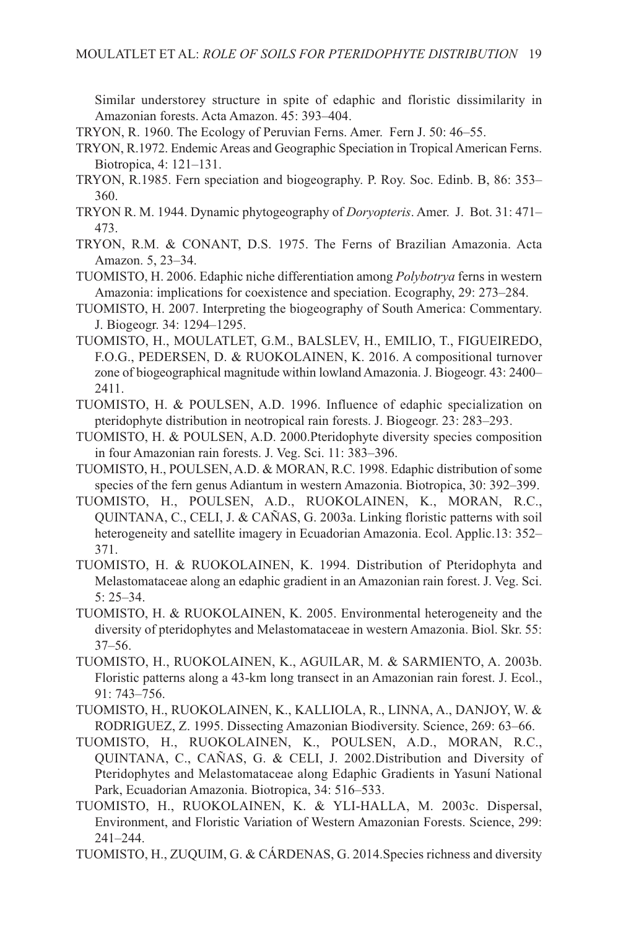Similar understorey structure in spite of edaphic and floristic dissimilarity in Amazonian forests. Acta Amazon. 45: 393–404.

- TRYON, R. 1960. The Ecology of Peruvian Ferns. Amer. Fern J. 50: 46–55.
- TRYON, R.1972. Endemic Areas and Geographic Speciation in Tropical American Ferns. Biotropica, 4: 121–131.
- TRYON, R.1985. Fern speciation and biogeography. P. Roy. Soc. Edinb. B, 86: 353– 360.
- TRYON R. M. 1944. Dynamic phytogeography of *Doryopteris*. Amer. J. Bot. 31: 471– 473.
- TRYON, R.M. & CONANT, D.S. 1975. The Ferns of Brazilian Amazonia. Acta Amazon. 5, 23–34.
- TUOMISTO, H. 2006. Edaphic niche differentiation among *Polybotrya* ferns in western Amazonia: implications for coexistence and speciation. Ecography, 29: 273–284.
- TUOMISTO, H. 2007. Interpreting the biogeography of South America: Commentary. J. Biogeogr. 34: 1294–1295.
- TUOMISTO, H., MOULATLET, G.M., BALSLEV, H., EMILIO, T., FIGUEIREDO, F.O.G., PEDERSEN, D. & RUOKOLAINEN, K. 2016. A compositional turnover zone of biogeographical magnitude within lowland Amazonia. J. Biogeogr. 43: 2400– 2411.
- TUOMISTO, H. & POULSEN, A.D. 1996. Influence of edaphic specialization on pteridophyte distribution in neotropical rain forests. J. Biogeogr. 23: 283–293.
- TUOMISTO, H. & POULSEN, A.D. 2000.Pteridophyte diversity species composition in four Amazonian rain forests. J. Veg. Sci. 11: 383–396.
- TUOMISTO, H., POULSEN, A.D. & MORAN, R.C. 1998. Edaphic distribution of some species of the fern genus Adiantum in western Amazonia. Biotropica, 30: 392–399.
- TUOMISTO, H., POULSEN, A.D., RUOKOLAINEN, K., MORAN, R.C., QUINTANA, C., CELI, J. & CAÑAS, G. 2003a. Linking floristic patterns with soil heterogeneity and satellite imagery in Ecuadorian Amazonia. Ecol. Applic.13: 352– 371.
- TUOMISTO, H. & RUOKOLAINEN, K. 1994. Distribution of Pteridophyta and Melastomataceae along an edaphic gradient in an Amazonian rain forest. J. Veg. Sci. 5: 25–34.
- TUOMISTO, H. & RUOKOLAINEN, K. 2005. Environmental heterogeneity and the diversity of pteridophytes and Melastomataceae in western Amazonia. Biol. Skr. 55: 37–56.
- TUOMISTO, H., RUOKOLAINEN, K., AGUILAR, M. & SARMIENTO, A. 2003b. Floristic patterns along a 43-km long transect in an Amazonian rain forest. J. Ecol., 91: 743–756.
- TUOMISTO, H., RUOKOLAINEN, K., KALLIOLA, R., LINNA, A., DANJOY, W. & RODRIGUEZ, Z. 1995. Dissecting Amazonian Biodiversity. Science, 269: 63–66.
- TUOMISTO, H., RUOKOLAINEN, K., POULSEN, A.D., MORAN, R.C., QUINTANA, C., CAÑAS, G. & CELI, J. 2002.Distribution and Diversity of Pteridophytes and Melastomataceae along Edaphic Gradients in Yasuní National Park, Ecuadorian Amazonia. Biotropica, 34: 516–533.
- TUOMISTO, H., RUOKOLAINEN, K. & YLI-HALLA, M. 2003c. Dispersal, Environment, and Floristic Variation of Western Amazonian Forests. Science, 299: 241–244.
- TUOMISTO, H., ZUQUIM, G. & CÁRDENAS, G. 2014.Species richness and diversity